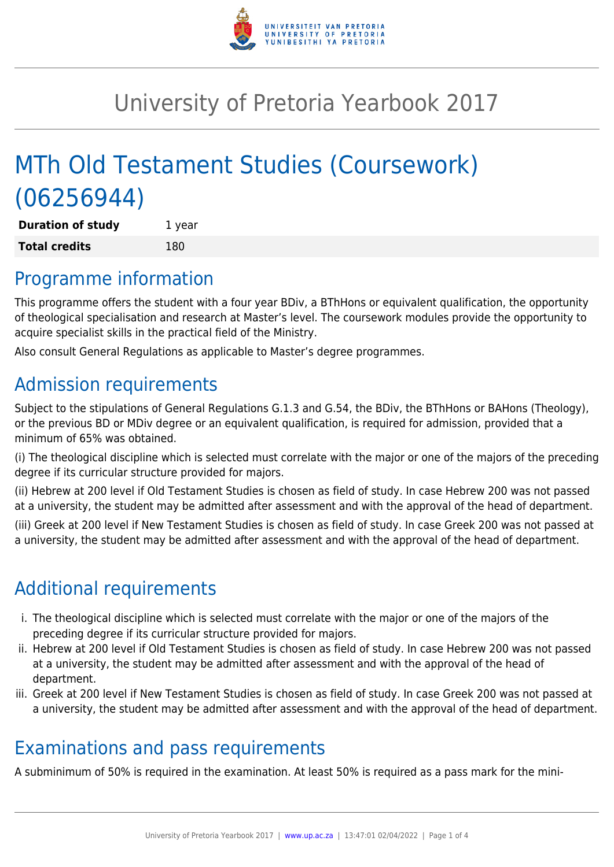

# University of Pretoria Yearbook 2017

# MTh Old Testament Studies (Coursework) (06256944)

**Duration of study** 1 year **Total credits** 180

## Programme information

This programme offers the student with a four year BDiv, a BThHons or equivalent qualification, the opportunity of theological specialisation and research at Master's level. The coursework modules provide the opportunity to acquire specialist skills in the practical field of the Ministry.

Also consult General Regulations as applicable to Master's degree programmes.

# Admission requirements

Subject to the stipulations of General Regulations G.1.3 and G.54, the BDiv, the BThHons or BAHons (Theology), or the previous BD or MDiv degree or an equivalent qualification, is required for admission, provided that a minimum of 65% was obtained.

(i) The theological discipline which is selected must correlate with the major or one of the majors of the preceding degree if its curricular structure provided for majors.

(ii) Hebrew at 200 level if Old Testament Studies is chosen as field of study. In case Hebrew 200 was not passed at a university, the student may be admitted after assessment and with the approval of the head of department.

(iii) Greek at 200 level if New Testament Studies is chosen as field of study. In case Greek 200 was not passed at a university, the student may be admitted after assessment and with the approval of the head of department.

# Additional requirements

- i. The theological discipline which is selected must correlate with the major or one of the majors of the preceding degree if its curricular structure provided for majors.
- ii. Hebrew at 200 level if Old Testament Studies is chosen as field of study. In case Hebrew 200 was not passed at a university, the student may be admitted after assessment and with the approval of the head of department.
- iii. Greek at 200 level if New Testament Studies is chosen as field of study. In case Greek 200 was not passed at a university, the student may be admitted after assessment and with the approval of the head of department.

## Examinations and pass requirements

A subminimum of 50% is required in the examination. At least 50% is required as a pass mark for the mini-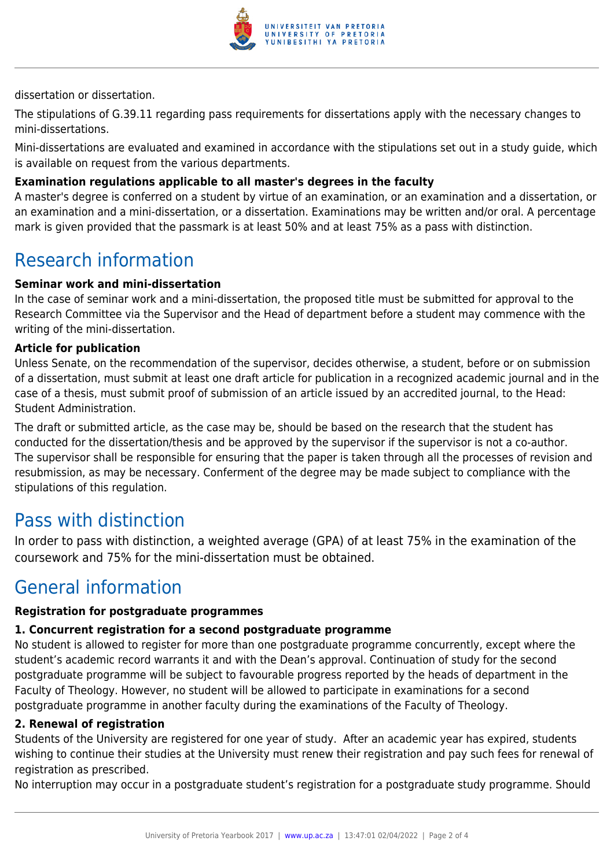

dissertation or dissertation.

The stipulations of G.39.11 regarding pass requirements for dissertations apply with the necessary changes to mini-dissertations.

Mini-dissertations are evaluated and examined in accordance with the stipulations set out in a study guide, which is available on request from the various departments.

#### **Examination regulations applicable to all master's degrees in the faculty**

A master's degree is conferred on a student by virtue of an examination, or an examination and a dissertation, or an examination and a mini-dissertation, or a dissertation. Examinations may be written and/or oral. A percentage mark is given provided that the passmark is at least 50% and at least 75% as a pass with distinction.

### Research information

#### **Seminar work and mini-dissertation**

In the case of seminar work and a mini-dissertation, the proposed title must be submitted for approval to the Research Committee via the Supervisor and the Head of department before a student may commence with the writing of the mini-dissertation.

#### **Article for publication**

Unless Senate, on the recommendation of the supervisor, decides otherwise, a student, before or on submission of a dissertation, must submit at least one draft article for publication in a recognized academic journal and in the case of a thesis, must submit proof of submission of an article issued by an accredited journal, to the Head: Student Administration.

The draft or submitted article, as the case may be, should be based on the research that the student has conducted for the dissertation/thesis and be approved by the supervisor if the supervisor is not a co-author. The supervisor shall be responsible for ensuring that the paper is taken through all the processes of revision and resubmission, as may be necessary. Conferment of the degree may be made subject to compliance with the stipulations of this regulation.

### Pass with distinction

In order to pass with distinction, a weighted average (GPA) of at least 75% in the examination of the coursework and 75% for the mini-dissertation must be obtained.

### General information

#### **Registration for postgraduate programmes**

#### **1. Concurrent registration for a second postgraduate programme**

No student is allowed to register for more than one postgraduate programme concurrently, except where the student's academic record warrants it and with the Dean's approval. Continuation of study for the second postgraduate programme will be subject to favourable progress reported by the heads of department in the Faculty of Theology. However, no student will be allowed to participate in examinations for a second postgraduate programme in another faculty during the examinations of the Faculty of Theology.

#### **2. Renewal of registration**

Students of the University are registered for one year of study. After an academic year has expired, students wishing to continue their studies at the University must renew their registration and pay such fees for renewal of registration as prescribed.

No interruption may occur in a postgraduate student's registration for a postgraduate study programme. Should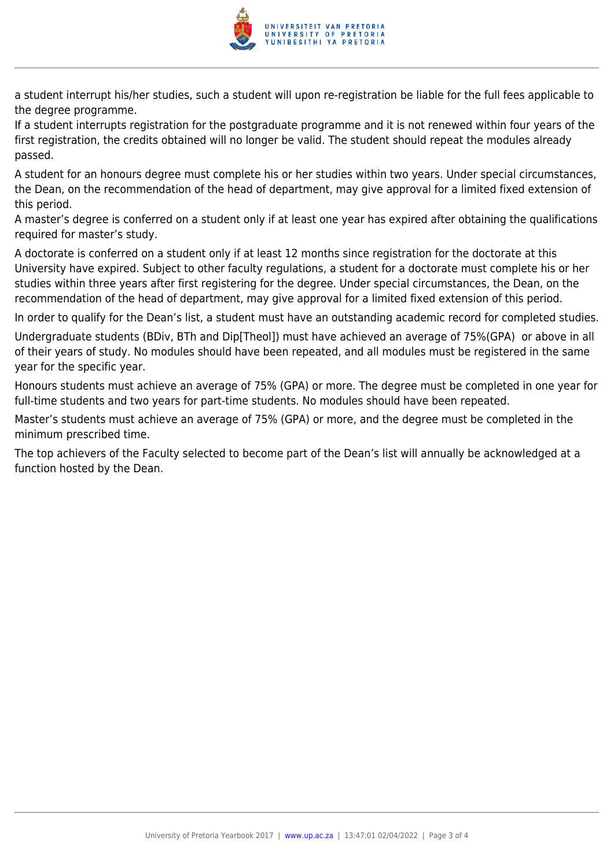

a student interrupt his/her studies, such a student will upon re-registration be liable for the full fees applicable to the degree programme.

If a student interrupts registration for the postgraduate programme and it is not renewed within four years of the first registration, the credits obtained will no longer be valid. The student should repeat the modules already passed.

A student for an honours degree must complete his or her studies within two years. Under special circumstances, the Dean, on the recommendation of the head of department, may give approval for a limited fixed extension of this period.

A master's degree is conferred on a student only if at least one year has expired after obtaining the qualifications required for master's study.

A doctorate is conferred on a student only if at least 12 months since registration for the doctorate at this University have expired. Subject to other faculty regulations, a student for a doctorate must complete his or her studies within three years after first registering for the degree. Under special circumstances, the Dean, on the recommendation of the head of department, may give approval for a limited fixed extension of this period.

In order to qualify for the Dean's list, a student must have an outstanding academic record for completed studies.

Undergraduate students (BDiv, BTh and Dip[Theol]) must have achieved an average of 75%(GPA) or above in all of their years of study. No modules should have been repeated, and all modules must be registered in the same year for the specific year.

Honours students must achieve an average of 75% (GPA) or more. The degree must be completed in one year for full-time students and two years for part-time students. No modules should have been repeated.

Master's students must achieve an average of 75% (GPA) or more, and the degree must be completed in the minimum prescribed time.

The top achievers of the Faculty selected to become part of the Dean's list will annually be acknowledged at a function hosted by the Dean.